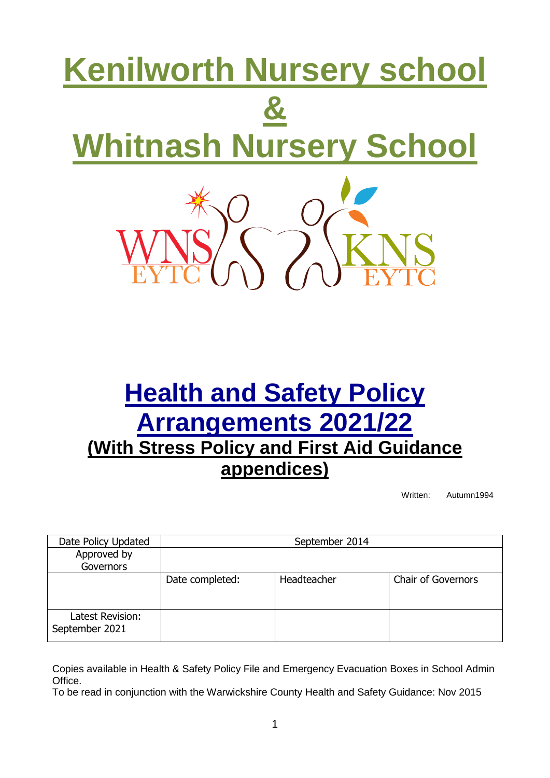# **Kenilworth Nursery school & Whitnash Nursery School**

# **Health and Safety Policy Arrangements 2021/22 (With Stress Policy and First Aid Guidance appendices)**

Written: Autumn1994

| Date Policy Updated                | September 2014  |             |                           |  |
|------------------------------------|-----------------|-------------|---------------------------|--|
| Approved by<br><b>Governors</b>    |                 |             |                           |  |
|                                    | Date completed: | Headteacher | <b>Chair of Governors</b> |  |
| Latest Revision:<br>September 2021 |                 |             |                           |  |

Copies available in Health & Safety Policy File and Emergency Evacuation Boxes in School Admin Office.

To be read in conjunction with the Warwickshire County Health and Safety Guidance: Nov 2015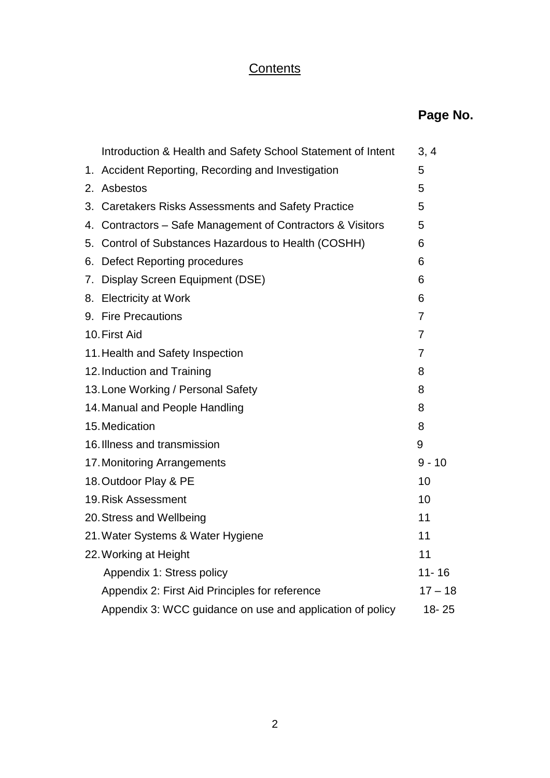# **Contents**

|                                    | Introduction & Health and Safety School Statement of Intent | 3, 4           |  |
|------------------------------------|-------------------------------------------------------------|----------------|--|
|                                    | 1. Accident Reporting, Recording and Investigation          |                |  |
| 2.                                 | Asbestos                                                    |                |  |
|                                    | 3. Caretakers Risks Assessments and Safety Practice         |                |  |
|                                    | 4. Contractors – Safe Management of Contractors & Visitors  | 5              |  |
|                                    | 5. Control of Substances Hazardous to Health (COSHH)        |                |  |
|                                    | 6. Defect Reporting procedures                              | 6              |  |
|                                    | 7. Display Screen Equipment (DSE)                           | 6              |  |
|                                    | 8. Electricity at Work                                      | 6              |  |
|                                    | 9. Fire Precautions                                         | $\overline{7}$ |  |
|                                    | 10. First Aid                                               | $\overline{7}$ |  |
|                                    | 11. Health and Safety Inspection                            | $\overline{7}$ |  |
| 12. Induction and Training         |                                                             |                |  |
| 13. Lone Working / Personal Safety |                                                             |                |  |
| 14. Manual and People Handling     |                                                             |                |  |
|                                    | 15. Medication                                              | 8              |  |
|                                    | 16. Illness and transmission                                | 9              |  |
|                                    | 17. Monitoring Arrangements                                 | $9 - 10$       |  |
|                                    | 18. Outdoor Play & PE                                       | 10             |  |
|                                    | 19. Risk Assessment                                         | 10             |  |
| 20. Stress and Wellbeing           |                                                             |                |  |
|                                    | 21. Water Systems & Water Hygiene                           |                |  |
|                                    | 22. Working at Height                                       | 11             |  |
|                                    | Appendix 1: Stress policy                                   | $11 - 16$      |  |
|                                    | Appendix 2: First Aid Principles for reference              | $17 - 18$      |  |
|                                    | Appendix 3: WCC guidance on use and application of policy   | 18-25          |  |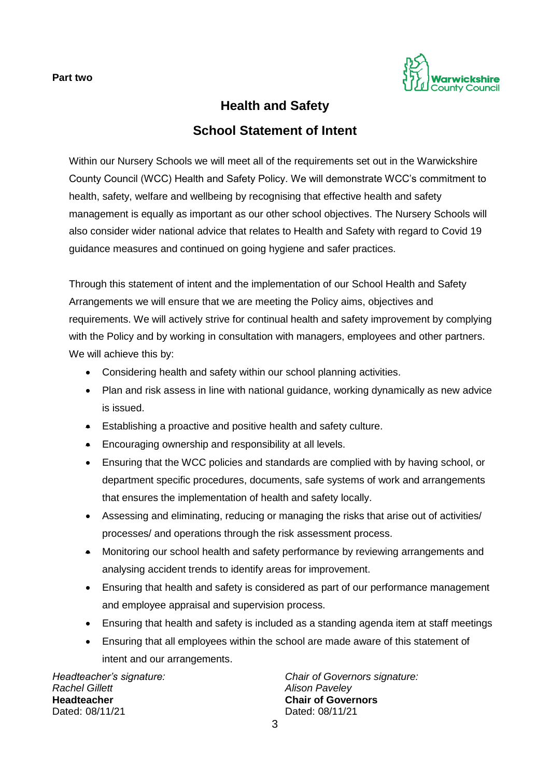

# **Health and Safety School Statement of Intent**

Within our Nursery Schools we will meet all of the requirements set out in the Warwickshire County Council (WCC) Health and Safety Policy. We will demonstrate WCC's commitment to health, safety, welfare and wellbeing by recognising that effective health and safety management is equally as important as our other school objectives. The Nursery Schools will also consider wider national advice that relates to Health and Safety with regard to Covid 19 guidance measures and continued on going hygiene and safer practices.

Through this statement of intent and the implementation of our School Health and Safety Arrangements we will ensure that we are meeting the Policy aims, objectives and requirements. We will actively strive for continual health and safety improvement by complying with the Policy and by working in consultation with managers, employees and other partners. We will achieve this by:

- Considering health and safety within our school planning activities.
- Plan and risk assess in line with national guidance, working dynamically as new advice is issued.
- Establishing a proactive and positive health and safety culture.
- **Encouraging ownership and responsibility at all levels.**
- Ensuring that the WCC policies and standards are complied with by having school, or department specific procedures, documents, safe systems of work and arrangements that ensures the implementation of health and safety locally.
- Assessing and eliminating, reducing or managing the risks that arise out of activities/ processes/ and operations through the risk assessment process.
- Monitoring our school health and safety performance by reviewing arrangements and analysing accident trends to identify areas for improvement.
- Ensuring that health and safety is considered as part of our performance management and employee appraisal and supervision process.
- Ensuring that health and safety is included as a standing agenda item at staff meetings
- Ensuring that all employees within the school are made aware of this statement of intent and our arrangements.

*Rachel Gillett Alison Paveley* **Headteacher Chair of Governors** Dated: 08/11/21 Dated: 08/11/21

*Headteacher's signature: Chair of Governors signature:*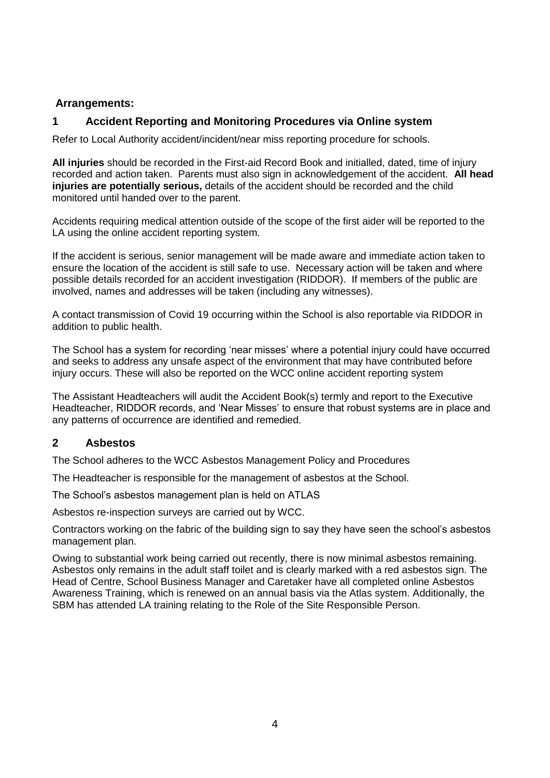#### **Arrangements:**

# **1 Accident Reporting and Monitoring Procedures via Online system**

Refer to Local Authority accident/incident/near miss reporting procedure for schools.

**All injuries** should be recorded in the First-aid Record Book and initialled, dated, time of injury recorded and action taken. Parents must also sign in acknowledgement of the accident. **All head injuries are potentially serious,** details of the accident should be recorded and the child monitored until handed over to the parent.

Accidents requiring medical attention outside of the scope of the first aider will be reported to the LA using the online accident reporting system.

If the accident is serious, senior management will be made aware and immediate action taken to ensure the location of the accident is still safe to use. Necessary action will be taken and where possible details recorded for an accident investigation (RIDDOR). If members of the public are involved, names and addresses will be taken (including any witnesses).

A contact transmission of Covid 19 occurring within the School is also reportable via RIDDOR in addition to public health.

The School has a system for recording 'near misses' where a potential injury could have occurred and seeks to address any unsafe aspect of the environment that may have contributed before injury occurs. These will also be reported on the WCC online accident reporting system

The Assistant Headteachers will audit the Accident Book(s) termly and report to the Executive Headteacher, RIDDOR records, and 'Near Misses' to ensure that robust systems are in place and any patterns of occurrence are identified and remedied.

# **2 Asbestos**

The School adheres to the WCC Asbestos Management Policy and Procedures

The Headteacher is responsible for the management of asbestos at the School.

The School's asbestos management plan is held on ATLAS

Asbestos re-inspection surveys are carried out by WCC.

Contractors working on the fabric of the building sign to say they have seen the school's asbestos management plan.

Owing to substantial work being carried out recently, there is now minimal asbestos remaining. Asbestos only remains in the adult staff toilet and is clearly marked with a red asbestos sign. The Head of Centre, School Business Manager and Caretaker have all completed online Asbestos Awareness Training, which is renewed on an annual basis via the Atlas system. Additionally, the SBM has attended LA training relating to the Role of the Site Responsible Person.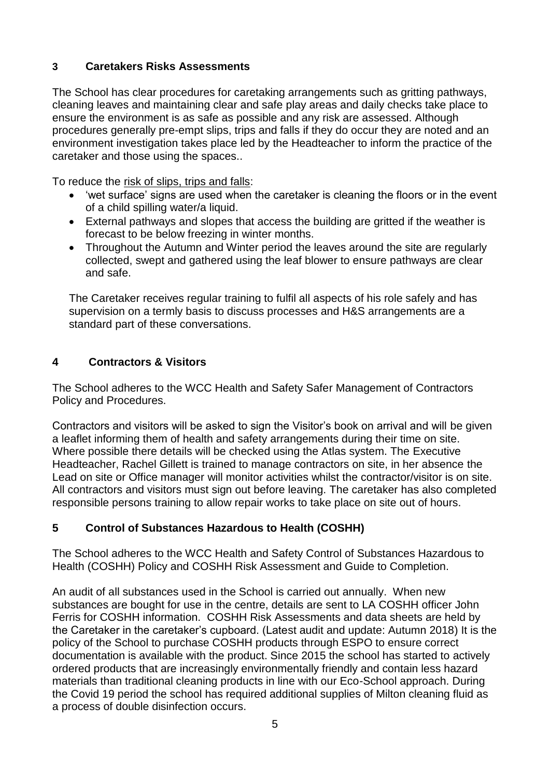# **3 Caretakers Risks Assessments**

The School has clear procedures for caretaking arrangements such as gritting pathways, cleaning leaves and maintaining clear and safe play areas and daily checks take place to ensure the environment is as safe as possible and any risk are assessed. Although procedures generally pre-empt slips, trips and falls if they do occur they are noted and an environment investigation takes place led by the Headteacher to inform the practice of the caretaker and those using the spaces..

To reduce the risk of slips, trips and falls:

- 'wet surface' signs are used when the caretaker is cleaning the floors or in the event of a child spilling water/a liquid.
- External pathways and slopes that access the building are gritted if the weather is forecast to be below freezing in winter months.
- Throughout the Autumn and Winter period the leaves around the site are regularly collected, swept and gathered using the leaf blower to ensure pathways are clear and safe.

The Caretaker receives regular training to fulfil all aspects of his role safely and has supervision on a termly basis to discuss processes and H&S arrangements are a standard part of these conversations.

# **4 Contractors & Visitors**

The School adheres to the WCC Health and Safety Safer Management of Contractors Policy and Procedures.

Contractors and visitors will be asked to sign the Visitor's book on arrival and will be given a leaflet informing them of health and safety arrangements during their time on site. Where possible there details will be checked using the Atlas system. The Executive Headteacher, Rachel Gillett is trained to manage contractors on site, in her absence the Lead on site or Office manager will monitor activities whilst the contractor/visitor is on site. All contractors and visitors must sign out before leaving. The caretaker has also completed responsible persons training to allow repair works to take place on site out of hours.

# **5 Control of Substances Hazardous to Health (COSHH)**

The School adheres to the WCC Health and Safety Control of Substances Hazardous to Health (COSHH) Policy and COSHH Risk Assessment and Guide to Completion.

An audit of all substances used in the School is carried out annually. When new substances are bought for use in the centre, details are sent to LA COSHH officer John Ferris for COSHH information. COSHH Risk Assessments and data sheets are held by the Caretaker in the caretaker's cupboard. (Latest audit and update: Autumn 2018) It is the policy of the School to purchase COSHH products through ESPO to ensure correct documentation is available with the product. Since 2015 the school has started to actively ordered products that are increasingly environmentally friendly and contain less hazard materials than traditional cleaning products in line with our Eco-School approach. During the Covid 19 period the school has required additional supplies of Milton cleaning fluid as a process of double disinfection occurs.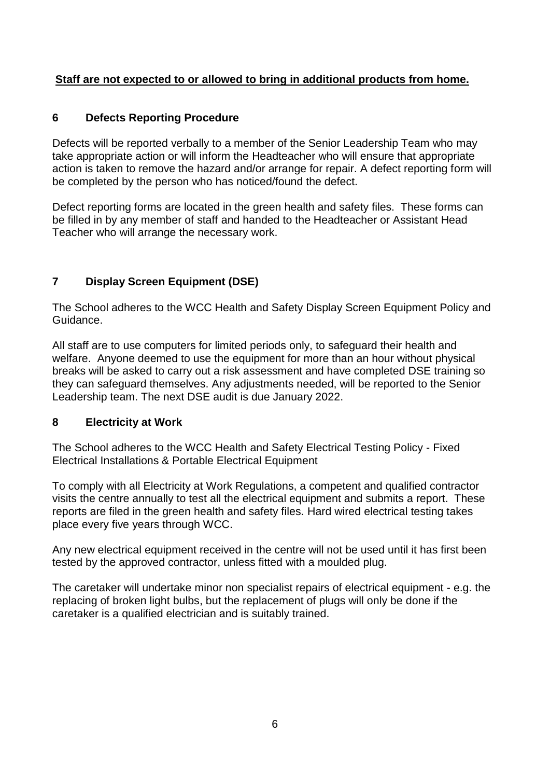# **Staff are not expected to or allowed to bring in additional products from home.**

# **6 Defects Reporting Procedure**

Defects will be reported verbally to a member of the Senior Leadership Team who may take appropriate action or will inform the Headteacher who will ensure that appropriate action is taken to remove the hazard and/or arrange for repair. A defect reporting form will be completed by the person who has noticed/found the defect.

Defect reporting forms are located in the green health and safety files. These forms can be filled in by any member of staff and handed to the Headteacher or Assistant Head Teacher who will arrange the necessary work.

# **7 Display Screen Equipment (DSE)**

The School adheres to the WCC Health and Safety Display Screen Equipment Policy and Guidance.

All staff are to use computers for limited periods only, to safeguard their health and welfare. Anyone deemed to use the equipment for more than an hour without physical breaks will be asked to carry out a risk assessment and have completed DSE training so they can safeguard themselves. Any adjustments needed, will be reported to the Senior Leadership team. The next DSE audit is due January 2022.

# **8 Electricity at Work**

The School adheres to the WCC Health and Safety Electrical Testing Policy - Fixed Electrical Installations & Portable Electrical Equipment

To comply with all Electricity at Work Regulations, a competent and qualified contractor visits the centre annually to test all the electrical equipment and submits a report. These reports are filed in the green health and safety files. Hard wired electrical testing takes place every five years through WCC.

Any new electrical equipment received in the centre will not be used until it has first been tested by the approved contractor, unless fitted with a moulded plug.

The caretaker will undertake minor non specialist repairs of electrical equipment - e.g. the replacing of broken light bulbs, but the replacement of plugs will only be done if the caretaker is a qualified electrician and is suitably trained.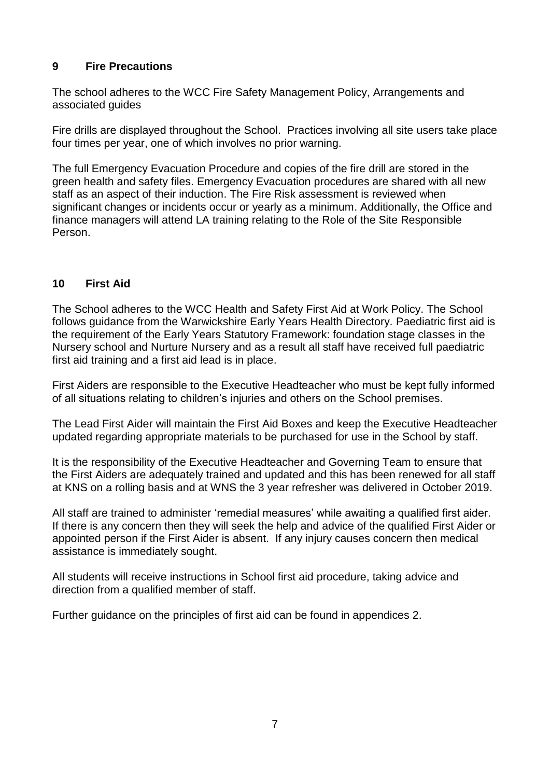# **9 Fire Precautions**

The school adheres to the WCC Fire Safety Management Policy, Arrangements and associated guides

Fire drills are displayed throughout the School. Practices involving all site users take place four times per year, one of which involves no prior warning.

The full Emergency Evacuation Procedure and copies of the fire drill are stored in the green health and safety files. Emergency Evacuation procedures are shared with all new staff as an aspect of their induction. The Fire Risk assessment is reviewed when significant changes or incidents occur or yearly as a minimum. Additionally, the Office and finance managers will attend LA training relating to the Role of the Site Responsible Person.

# **10 First Aid**

The School adheres to the WCC Health and Safety First Aid at Work Policy. The School follows guidance from the Warwickshire Early Years Health Directory. Paediatric first aid is the requirement of the Early Years Statutory Framework: foundation stage classes in the Nursery school and Nurture Nursery and as a result all staff have received full paediatric first aid training and a first aid lead is in place.

First Aiders are responsible to the Executive Headteacher who must be kept fully informed of all situations relating to children's injuries and others on the School premises.

The Lead First Aider will maintain the First Aid Boxes and keep the Executive Headteacher updated regarding appropriate materials to be purchased for use in the School by staff.

It is the responsibility of the Executive Headteacher and Governing Team to ensure that the First Aiders are adequately trained and updated and this has been renewed for all staff at KNS on a rolling basis and at WNS the 3 year refresher was delivered in October 2019.

All staff are trained to administer 'remedial measures' while awaiting a qualified first aider. If there is any concern then they will seek the help and advice of the qualified First Aider or appointed person if the First Aider is absent. If any injury causes concern then medical assistance is immediately sought.

All students will receive instructions in School first aid procedure, taking advice and direction from a qualified member of staff.

Further guidance on the principles of first aid can be found in appendices 2.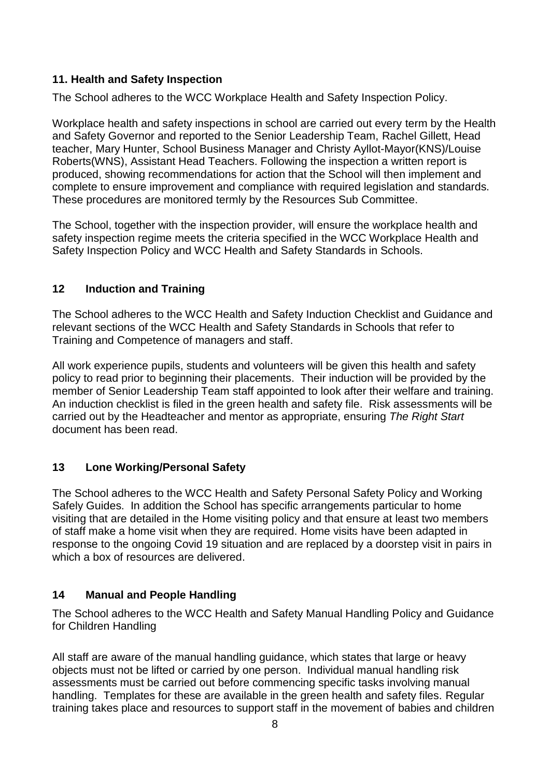# **11. Health and Safety Inspection**

The School adheres to the WCC Workplace Health and Safety Inspection Policy.

Workplace health and safety inspections in school are carried out every term by the Health and Safety Governor and reported to the Senior Leadership Team, Rachel Gillett, Head teacher, Mary Hunter, School Business Manager and Christy Ayllot-Mayor(KNS)/Louise Roberts(WNS), Assistant Head Teachers. Following the inspection a written report is produced, showing recommendations for action that the School will then implement and complete to ensure improvement and compliance with required legislation and standards. These procedures are monitored termly by the Resources Sub Committee.

The School, together with the inspection provider, will ensure the workplace health and safety inspection regime meets the criteria specified in the WCC Workplace Health and Safety Inspection Policy and WCC Health and Safety Standards in Schools.

# **12 Induction and Training**

The School adheres to the WCC Health and Safety Induction Checklist and Guidance and relevant sections of the WCC Health and Safety Standards in Schools that refer to Training and Competence of managers and staff.

All work experience pupils, students and volunteers will be given this health and safety policy to read prior to beginning their placements. Their induction will be provided by the member of Senior Leadership Team staff appointed to look after their welfare and training. An induction checklist is filed in the green health and safety file. Risk assessments will be carried out by the Headteacher and mentor as appropriate, ensuring *The Right Start* document has been read.

# **13 Lone Working/Personal Safety**

The School adheres to the WCC Health and Safety Personal Safety Policy and Working Safely Guides. In addition the School has specific arrangements particular to home visiting that are detailed in the Home visiting policy and that ensure at least two members of staff make a home visit when they are required. Home visits have been adapted in response to the ongoing Covid 19 situation and are replaced by a doorstep visit in pairs in which a box of resources are delivered.

# **14 Manual and People Handling**

The School adheres to the WCC Health and Safety Manual Handling Policy and Guidance for Children Handling

All staff are aware of the manual handling guidance, which states that large or heavy objects must not be lifted or carried by one person. Individual manual handling risk assessments must be carried out before commencing specific tasks involving manual handling. Templates for these are available in the green health and safety files. Regular training takes place and resources to support staff in the movement of babies and children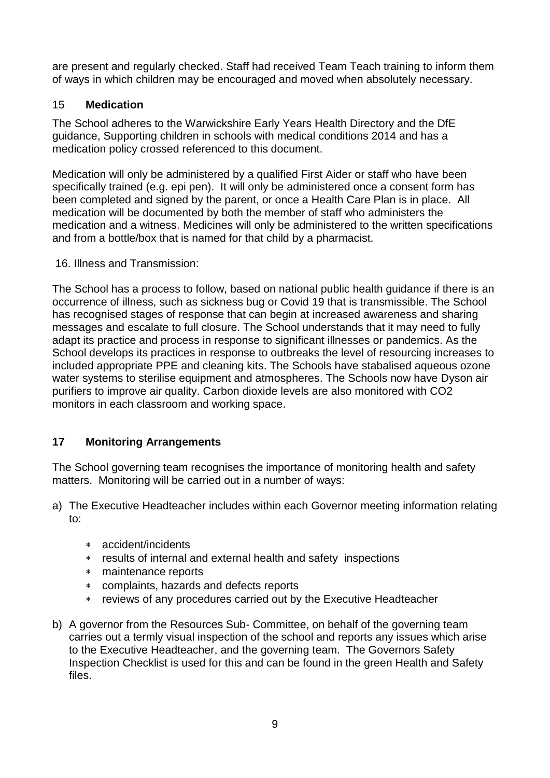are present and regularly checked. Staff had received Team Teach training to inform them of ways in which children may be encouraged and moved when absolutely necessary.

# 15 **Medication**

The School adheres to the Warwickshire Early Years Health Directory and the DfE guidance, Supporting children in schools with medical conditions 2014 and has a medication policy crossed referenced to this document.

Medication will only be administered by a qualified First Aider or staff who have been specifically trained (e.g. epi pen). It will only be administered once a consent form has been completed and signed by the parent, or once a Health Care Plan is in place. All medication will be documented by both the member of staff who administers the medication and a witness. Medicines will only be administered to the written specifications and from a bottle/box that is named for that child by a pharmacist.

16. Illness and Transmission:

The School has a process to follow, based on national public health guidance if there is an occurrence of illness, such as sickness bug or Covid 19 that is transmissible. The School has recognised stages of response that can begin at increased awareness and sharing messages and escalate to full closure. The School understands that it may need to fully adapt its practice and process in response to significant illnesses or pandemics. As the School develops its practices in response to outbreaks the level of resourcing increases to included appropriate PPE and cleaning kits. The Schools have stabalised aqueous ozone water systems to sterilise equipment and atmospheres. The Schools now have Dyson air purifiers to improve air quality. Carbon dioxide levels are also monitored with CO2 monitors in each classroom and working space.

# **17 Monitoring Arrangements**

The School governing team recognises the importance of monitoring health and safety matters. Monitoring will be carried out in a number of ways:

- a) The Executive Headteacher includes within each Governor meeting information relating to:
	- accident/incidents
	- results of internal and external health and safety inspections
	- maintenance reports
	- complaints, hazards and defects reports
	- reviews of any procedures carried out by the Executive Headteacher
- b) A governor from the Resources Sub- Committee, on behalf of the governing team carries out a termly visual inspection of the school and reports any issues which arise to the Executive Headteacher, and the governing team. The Governors Safety Inspection Checklist is used for this and can be found in the green Health and Safety files.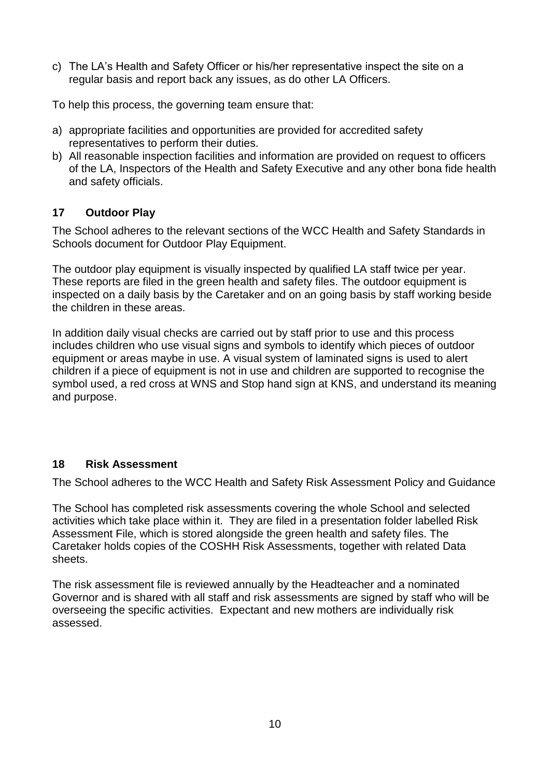c) The LA's Health and Safety Officer or his/her representative inspect the site on a regular basis and report back any issues, as do other LA Officers.

To help this process, the governing team ensure that:

- a) appropriate facilities and opportunities are provided for accredited safety representatives to perform their duties.
- b) All reasonable inspection facilities and information are provided on request to officers of the LA, Inspectors of the Health and Safety Executive and any other bona fide health and safety officials.

# **17 Outdoor Play**

The School adheres to the relevant sections of the WCC Health and Safety Standards in Schools document for Outdoor Play Equipment.

The outdoor play equipment is visually inspected by qualified LA staff twice per year. These reports are filed in the green health and safety files. The outdoor equipment is inspected on a daily basis by the Caretaker and on an going basis by staff working beside the children in these areas.

In addition daily visual checks are carried out by staff prior to use and this process includes children who use visual signs and symbols to identify which pieces of outdoor equipment or areas maybe in use. A visual system of laminated signs is used to alert children if a piece of equipment is not in use and children are supported to recognise the symbol used, a red cross at WNS and Stop hand sign at KNS, and understand its meaning and purpose.

# **18 Risk Assessment**

The School adheres to the WCC Health and Safety Risk Assessment Policy and Guidance

The School has completed risk assessments covering the whole School and selected activities which take place within it. They are filed in a presentation folder labelled Risk Assessment File, which is stored alongside the green health and safety files. The Caretaker holds copies of the COSHH Risk Assessments, together with related Data sheets.

The risk assessment file is reviewed annually by the Headteacher and a nominated Governor and is shared with all staff and risk assessments are signed by staff who will be overseeing the specific activities. Expectant and new mothers are individually risk assessed.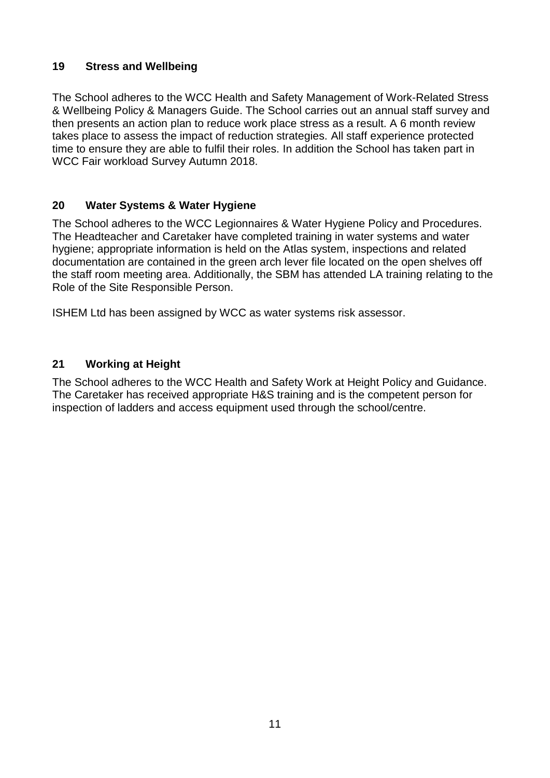# **19 Stress and Wellbeing**

The School adheres to the WCC Health and Safety Management of Work-Related Stress & Wellbeing Policy & Managers Guide. The School carries out an annual staff survey and then presents an action plan to reduce work place stress as a result. A 6 month review takes place to assess the impact of reduction strategies. All staff experience protected time to ensure they are able to fulfil their roles. In addition the School has taken part in WCC Fair workload Survey Autumn 2018.

# **20 Water Systems & Water Hygiene**

The School adheres to the WCC Legionnaires & Water Hygiene Policy and Procedures. The Headteacher and Caretaker have completed training in water systems and water hygiene; appropriate information is held on the Atlas system, inspections and related documentation are contained in the green arch lever file located on the open shelves off the staff room meeting area. Additionally, the SBM has attended LA training relating to the Role of the Site Responsible Person.

ISHEM Ltd has been assigned by WCC as water systems risk assessor.

# **21 Working at Height**

The School adheres to the WCC Health and Safety Work at Height Policy and Guidance. The Caretaker has received appropriate H&S training and is the competent person for inspection of ladders and access equipment used through the school/centre.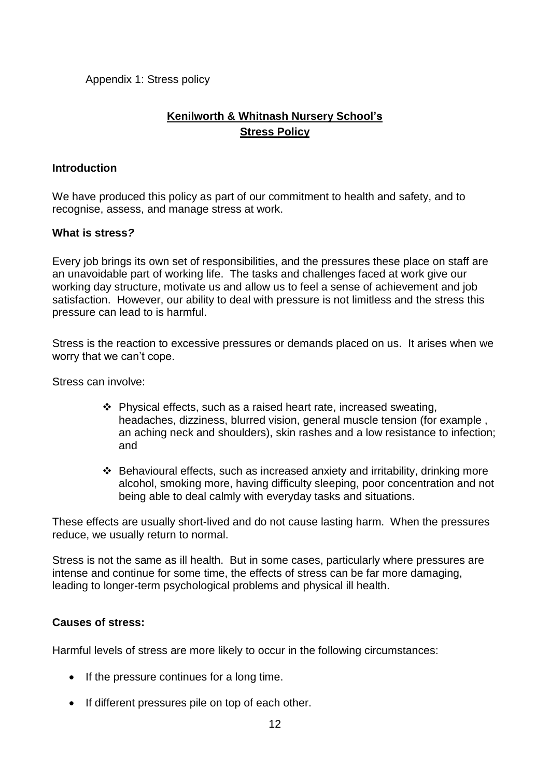Appendix 1: Stress policy

# **Kenilworth & Whitnash Nursery School's Stress Policy**

#### **Introduction**

We have produced this policy as part of our commitment to health and safety, and to recognise, assess, and manage stress at work.

#### **What is stress***?*

Every job brings its own set of responsibilities, and the pressures these place on staff are an unavoidable part of working life. The tasks and challenges faced at work give our working day structure, motivate us and allow us to feel a sense of achievement and job satisfaction. However, our ability to deal with pressure is not limitless and the stress this pressure can lead to is harmful.

Stress is the reaction to excessive pressures or demands placed on us. It arises when we worry that we can't cope.

Stress can involve:

- $\cdot$  Physical effects, such as a raised heart rate, increased sweating, headaches, dizziness, blurred vision, general muscle tension (for example , an aching neck and shoulders), skin rashes and a low resistance to infection; and
- Behavioural effects, such as increased anxiety and irritability, drinking more alcohol, smoking more, having difficulty sleeping, poor concentration and not being able to deal calmly with everyday tasks and situations.

These effects are usually short-lived and do not cause lasting harm. When the pressures reduce, we usually return to normal.

Stress is not the same as ill health. But in some cases, particularly where pressures are intense and continue for some time, the effects of stress can be far more damaging, leading to longer-term psychological problems and physical ill health.

#### **Causes of stress:**

Harmful levels of stress are more likely to occur in the following circumstances:

- If the pressure continues for a long time.
- If different pressures pile on top of each other.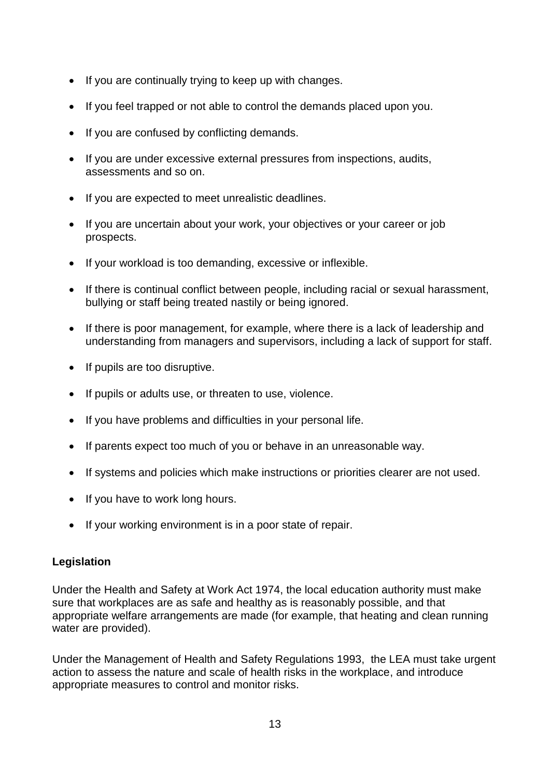- If you are continually trying to keep up with changes.
- If you feel trapped or not able to control the demands placed upon you.
- If you are confused by conflicting demands.
- If you are under excessive external pressures from inspections, audits, assessments and so on.
- If you are expected to meet unrealistic deadlines.
- If you are uncertain about your work, your objectives or your career or job prospects.
- If your workload is too demanding, excessive or inflexible.
- If there is continual conflict between people, including racial or sexual harassment, bullying or staff being treated nastily or being ignored.
- If there is poor management, for example, where there is a lack of leadership and understanding from managers and supervisors, including a lack of support for staff.
- $\bullet$  If pupils are too disruptive.
- If pupils or adults use, or threaten to use, violence.
- If you have problems and difficulties in your personal life.
- If parents expect too much of you or behave in an unreasonable way.
- If systems and policies which make instructions or priorities clearer are not used.
- If you have to work long hours.
- If your working environment is in a poor state of repair.

# **Legislation**

Under the Health and Safety at Work Act 1974, the local education authority must make sure that workplaces are as safe and healthy as is reasonably possible, and that appropriate welfare arrangements are made (for example, that heating and clean running water are provided).

Under the Management of Health and Safety Regulations 1993, the LEA must take urgent action to assess the nature and scale of health risks in the workplace, and introduce appropriate measures to control and monitor risks.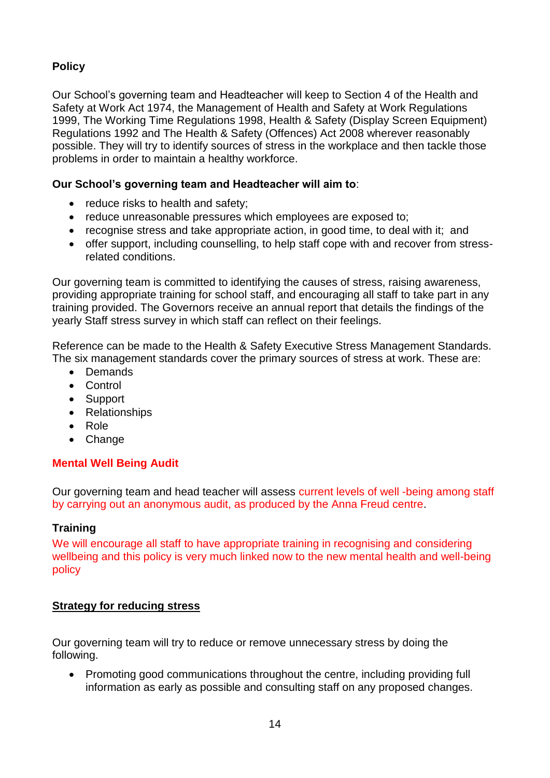# **Policy**

Our School's governing team and Headteacher will keep to Section 4 of the Health and Safety at Work Act 1974, the Management of Health and Safety at Work Regulations 1999, The Working Time Regulations 1998, Health & Safety (Display Screen Equipment) Regulations 1992 and The Health & Safety (Offences) Act 2008 wherever reasonably possible. They will try to identify sources of stress in the workplace and then tackle those problems in order to maintain a healthy workforce.

# **Our School's governing team and Headteacher will aim to**:

- reduce risks to health and safety;
- reduce unreasonable pressures which employees are exposed to;
- recognise stress and take appropriate action, in good time, to deal with it; and
- offer support, including counselling, to help staff cope with and recover from stressrelated conditions.

Our governing team is committed to identifying the causes of stress, raising awareness, providing appropriate training for school staff, and encouraging all staff to take part in any training provided. The Governors receive an annual report that details the findings of the yearly Staff stress survey in which staff can reflect on their feelings.

Reference can be made to the Health & Safety Executive Stress Management Standards. The six management standards cover the primary sources of stress at work. These are:

- Demands
- Control
- Support
- Relationships
- Role
- Change

# **Mental Well Being Audit**

Our governing team and head teacher will assess current levels of well -being among staff by carrying out an anonymous audit, as produced by the Anna Freud centre.

# **Training**

We will encourage all staff to have appropriate training in recognising and considering wellbeing and this policy is very much linked now to the new mental health and well-being policy

# **Strategy for reducing stress**

Our governing team will try to reduce or remove unnecessary stress by doing the following.

 Promoting good communications throughout the centre, including providing full information as early as possible and consulting staff on any proposed changes.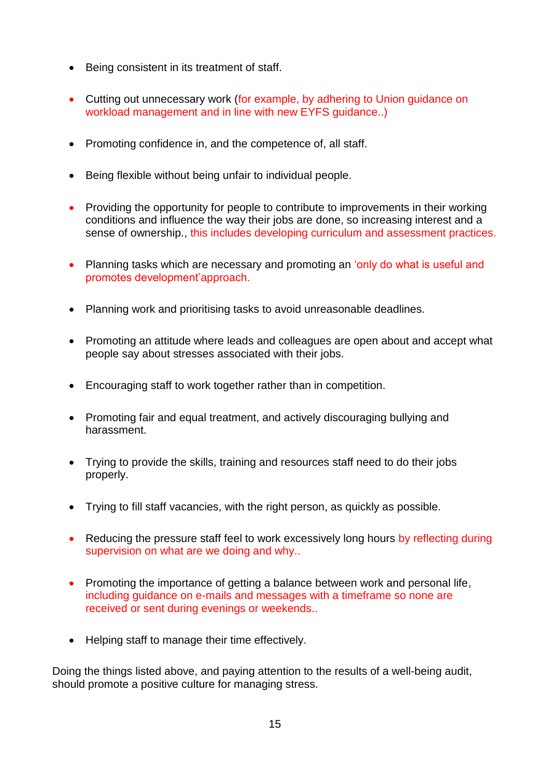- Being consistent in its treatment of staff.
- Cutting out unnecessary work (for example, by adhering to Union guidance on workload management and in line with new EYFS guidance..)
- Promoting confidence in, and the competence of, all staff.
- Being flexible without being unfair to individual people.
- Providing the opportunity for people to contribute to improvements in their working conditions and influence the way their jobs are done, so increasing interest and a sense of ownership., this includes developing curriculum and assessment practices.
- Planning tasks which are necessary and promoting an 'only do what is useful and promotes development'approach.
- Planning work and prioritising tasks to avoid unreasonable deadlines.
- Promoting an attitude where leads and colleagues are open about and accept what people say about stresses associated with their jobs.
- Encouraging staff to work together rather than in competition.
- Promoting fair and equal treatment, and actively discouraging bullying and harassment.
- Trying to provide the skills, training and resources staff need to do their jobs properly.
- Trying to fill staff vacancies, with the right person, as quickly as possible.
- Reducing the pressure staff feel to work excessively long hours by reflecting during supervision on what are we doing and why..
- Promoting the importance of getting a balance between work and personal life, including guidance on e-mails and messages with a timeframe so none are received or sent during evenings or weekends..
- Helping staff to manage their time effectively.

Doing the things listed above, and paying attention to the results of a well-being audit, should promote a positive culture for managing stress.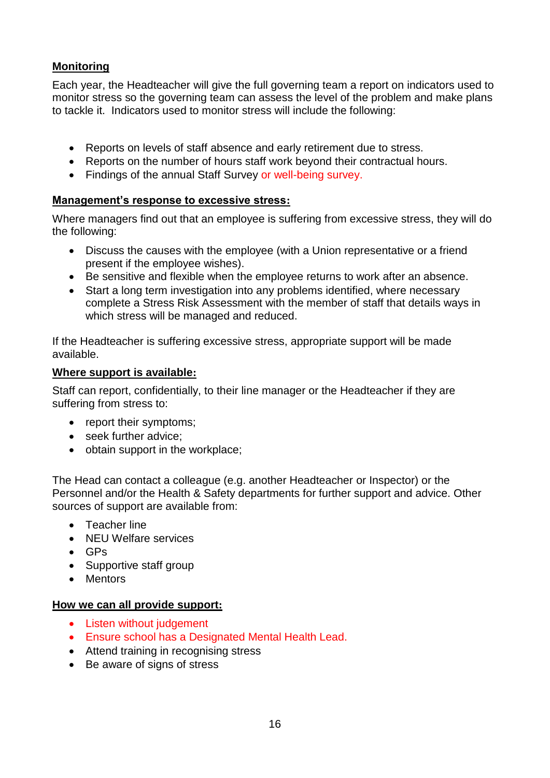# **Monitoring**

Each year, the Headteacher will give the full governing team a report on indicators used to monitor stress so the governing team can assess the level of the problem and make plans to tackle it. Indicators used to monitor stress will include the following:

- Reports on levels of staff absence and early retirement due to stress.
- Reports on the number of hours staff work beyond their contractual hours.
- Findings of the annual Staff Survey or well-being survey.

#### **Management's response to excessive stress:**

Where managers find out that an employee is suffering from excessive stress, they will do the following:

- Discuss the causes with the employee (with a Union representative or a friend present if the employee wishes).
- Be sensitive and flexible when the employee returns to work after an absence.
- Start a long term investigation into any problems identified, where necessary complete a Stress Risk Assessment with the member of staff that details ways in which stress will be managed and reduced.

If the Headteacher is suffering excessive stress, appropriate support will be made available.

#### **Where support is available:**

Staff can report, confidentially, to their line manager or the Headteacher if they are suffering from stress to:

- report their symptoms:
- seek further advice:
- obtain support in the workplace;

The Head can contact a colleague (e.g. another Headteacher or Inspector) or the Personnel and/or the Health & Safety departments for further support and advice. Other sources of support are available from:

- **•** Teacher line
- NEU Welfare services
- $-$  GPs
- Supportive staff group
- Mentors

#### **How we can all provide support:**

- Listen without judgement
- Ensure school has a Designated Mental Health Lead.
- Attend training in recognising stress
- Be aware of signs of stress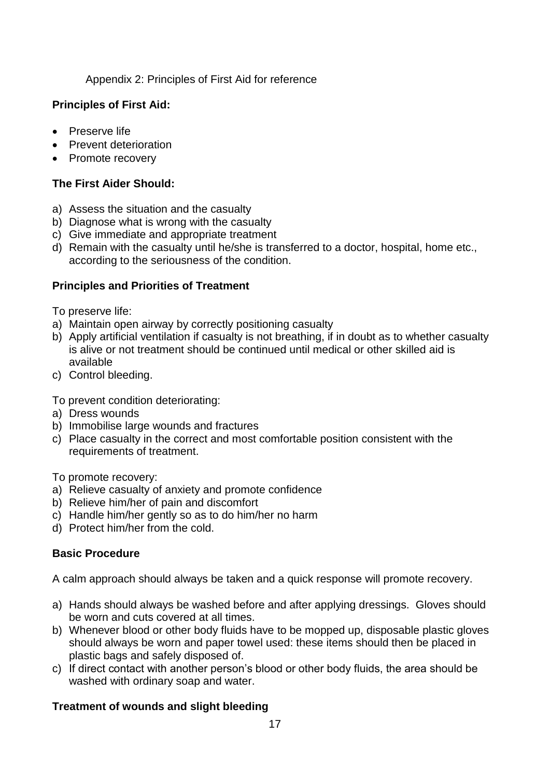Appendix 2: Principles of First Aid for reference

# **Principles of First Aid:**

- Preserve life
- Prevent deterioration
- Promote recovery

# **The First Aider Should:**

- a) Assess the situation and the casualty
- b) Diagnose what is wrong with the casualty
- c) Give immediate and appropriate treatment
- d) Remain with the casualty until he/she is transferred to a doctor, hospital, home etc., according to the seriousness of the condition.

# **Principles and Priorities of Treatment**

To preserve life:

- a) Maintain open airway by correctly positioning casualty
- b) Apply artificial ventilation if casualty is not breathing, if in doubt as to whether casualty is alive or not treatment should be continued until medical or other skilled aid is available
- c) Control bleeding.

To prevent condition deteriorating:

- a) Dress wounds
- b) Immobilise large wounds and fractures
- c) Place casualty in the correct and most comfortable position consistent with the requirements of treatment.

To promote recovery:

- a) Relieve casualty of anxiety and promote confidence
- b) Relieve him/her of pain and discomfort
- c) Handle him/her gently so as to do him/her no harm
- d) Protect him/her from the cold.

# **Basic Procedure**

A calm approach should always be taken and a quick response will promote recovery.

- a) Hands should always be washed before and after applying dressings. Gloves should be worn and cuts covered at all times.
- b) Whenever blood or other body fluids have to be mopped up, disposable plastic gloves should always be worn and paper towel used: these items should then be placed in plastic bags and safely disposed of.
- c) If direct contact with another person's blood or other body fluids, the area should be washed with ordinary soap and water.

# **Treatment of wounds and slight bleeding**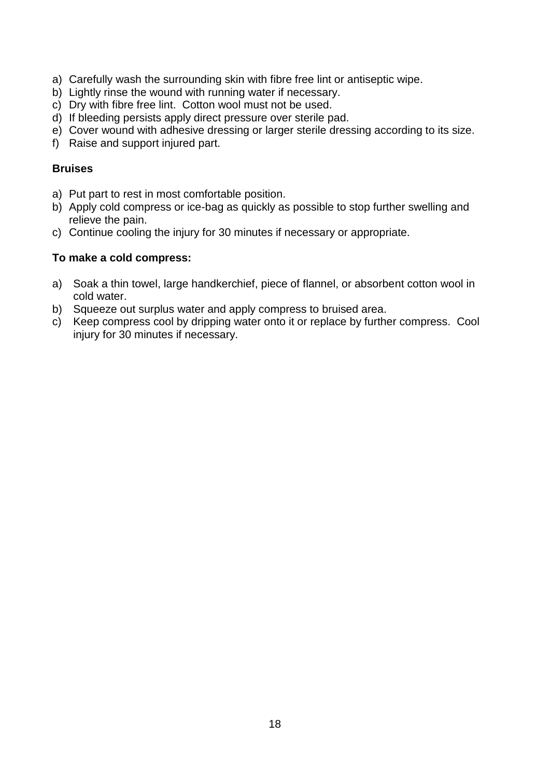- a) Carefully wash the surrounding skin with fibre free lint or antiseptic wipe.
- b) Lightly rinse the wound with running water if necessary.
- c) Dry with fibre free lint. Cotton wool must not be used.
- d) If bleeding persists apply direct pressure over sterile pad.
- e) Cover wound with adhesive dressing or larger sterile dressing according to its size.
- f) Raise and support injured part.

#### **Bruises**

- a) Put part to rest in most comfortable position.
- b) Apply cold compress or ice-bag as quickly as possible to stop further swelling and relieve the pain.
- c) Continue cooling the injury for 30 minutes if necessary or appropriate.

#### **To make a cold compress:**

- a) Soak a thin towel, large handkerchief, piece of flannel, or absorbent cotton wool in cold water.
- b) Squeeze out surplus water and apply compress to bruised area.
- c) Keep compress cool by dripping water onto it or replace by further compress. Cool injury for 30 minutes if necessary.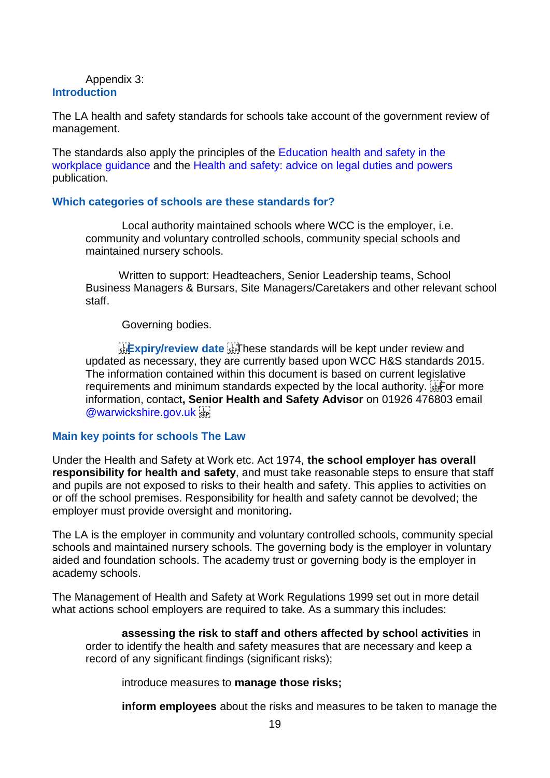#### Appendix 3: **Introduction**

The LA health and safety standards for schools take account of the government review of management.

The standards also apply the principles of the Education health and safety in the workplace guidance and the Health and safety: advice on legal duties and powers publication.

#### **Which categories of schools are these standards for?**

Local authority maintained schools where WCC is the employer, i.e. community and voluntary controlled schools, community special schools and maintained nursery schools.

Written to support: Headteachers, Senior Leadership teams, School Business Managers & Bursars, Site Managers/Caretakers and other relevant school staff.

Governing bodies.

**Expiry/review date Fight lese standards will be kept under review and** updated as necessary, they are currently based upon WCC H&S standards 2015. The information contained within this document is based on current legislative requirements and minimum standards expected by the local authority. Fight or more information, contact**, Senior Health and Safety Advisor** on 01926 476803 email @warwickshire.gov.uk

#### **Main key points for schools The Law**

Under the Health and Safety at Work etc. Act 1974, **the school employer has overall responsibility for health and safety**, and must take reasonable steps to ensure that staff and pupils are not exposed to risks to their health and safety. This applies to activities on or off the school premises. Responsibility for health and safety cannot be devolved; the employer must provide oversight and monitoring**.**

The LA is the employer in community and voluntary controlled schools, community special schools and maintained nursery schools. The governing body is the employer in voluntary aided and foundation schools. The academy trust or governing body is the employer in academy schools.

The Management of Health and Safety at Work Regulations 1999 set out in more detail what actions school employers are required to take. As a summary this includes:

**assessing the risk to staff and others affected by school activities** in order to identify the health and safety measures that are necessary and keep a record of any significant findings (significant risks);

introduce measures to **manage those risks;** 

**inform employees** about the risks and measures to be taken to manage the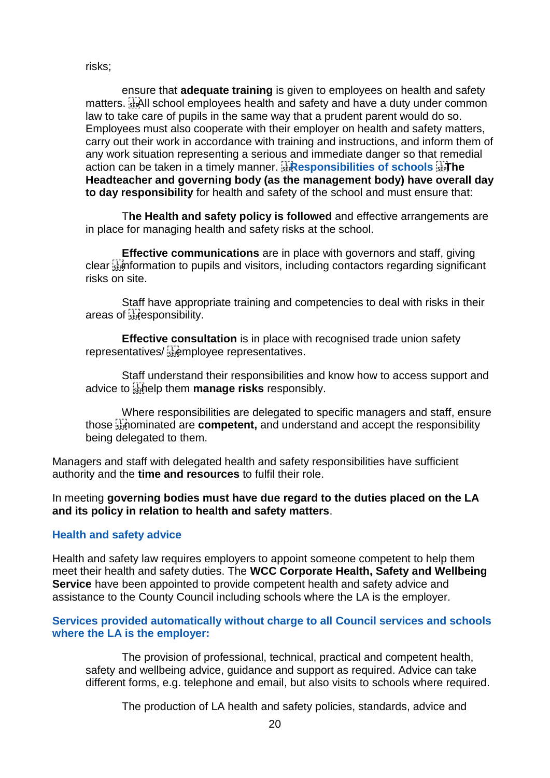risks;

ensure that **adequate training** is given to employees on health and safety matters. **EXALL** school employees health and safety and have a duty under common law to take care of pupils in the same way that a prudent parent would do so. Employees must also cooperate with their employer on health and safety matters, carry out their work in accordance with training and instructions, and inform them of any work situation representing a serious and immediate danger so that remedial action can be taken in a timely manner. *Responsibilities of schools* **Headteacher and governing body (as the management body) have overall day to day responsibility** for health and safety of the school and must ensure that:

T**he Health and safety policy is followed** and effective arrangements are in place for managing health and safety risks at the school.

**Effective communications** are in place with governors and staff, giving clear information to pupils and visitors, including contactors regarding significant risks on site.

Staff have appropriate training and competencies to deal with risks in their areas of **Responsibility**.

**Effective consultation** is in place with recognised trade union safety representatives/

Staff understand their responsibilities and know how to access support and advice to help them **manage risks** responsibly.

Where responsibilities are delegated to specific managers and staff, ensure those **separally** those  $\frac{1}{2}$  and inderstand and accept the responsibility being delegated to them.

Managers and staff with delegated health and safety responsibilities have sufficient authority and the **time and resources** to fulfil their role.

In meeting **governing bodies must have due regard to the duties placed on the LA and its policy in relation to health and safety matters**.

# **Health and safety advice**

Health and safety law requires employers to appoint someone competent to help them meet their health and safety duties. The **WCC Corporate Health, Safety and Wellbeing Service** have been appointed to provide competent health and safety advice and assistance to the County Council including schools where the LA is the employer.

#### **Services provided automatically without charge to all Council services and schools where the LA is the employer:**

The provision of professional, technical, practical and competent health, safety and wellbeing advice, guidance and support as required. Advice can take different forms, e.g. telephone and email, but also visits to schools where required.

The production of LA health and safety policies, standards, advice and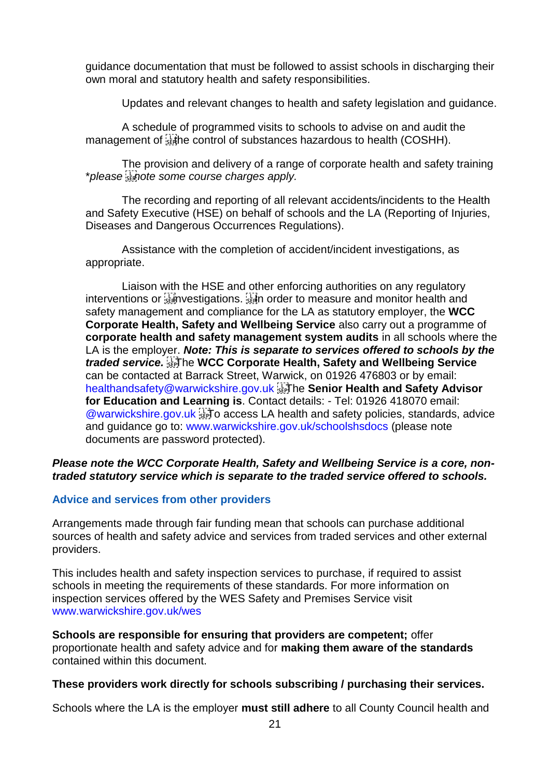guidance documentation that must be followed to assist schools in discharging their own moral and statutory health and safety responsibilities.

Updates and relevant changes to health and safety legislation and guidance.

A schedule of programmed visits to schools to advise on and audit the management of  $\frac{1}{3}$  he control of substances hazardous to health (COSHH).

The provision and delivery of a range of corporate health and safety training \**please note some course charges apply.* 

The recording and reporting of all relevant accidents/incidents to the Health and Safety Executive (HSE) on behalf of schools and the LA (Reporting of Injuries, Diseases and Dangerous Occurrences Regulations).

Assistance with the completion of accident/incident investigations, as appropriate.

Liaison with the HSE and other enforcing authorities on any regulatory interventions or **interventions** or **interventions** interventions or **interventions** or **interventions** or **interventions** safety management and compliance for the LA as statutory employer, the **WCC Corporate Health, Safety and Wellbeing Service** also carry out a programme of **corporate health and safety management system audits** in all schools where the LA is the employer. *Note: This is separate to services offered to schools by the traded service.*  The **WCC Corporate Health, Safety and Wellbeing Service**  can be contacted at Barrack Street, Warwick, on 01926 476803 or by email: healthandsafety@warwickshire.gov.uk The **Senior Health and Safety Advisor for Education and Learning is**. Contact details: - Tel: 01926 418070 email: @warwickshire.gov.uk Fill o access LA health and safety policies, standards, advice and guidance go to: www.warwickshire.gov.uk/schoolshsdocs (please note documents are password protected).

#### *Please note the WCC Corporate Health, Safety and Wellbeing Service is a core, nontraded statutory service which is separate to the traded service offered to schools.*

#### **Advice and services from other providers**

Arrangements made through fair funding mean that schools can purchase additional sources of health and safety advice and services from traded services and other external providers.

This includes health and safety inspection services to purchase, if required to assist schools in meeting the requirements of these standards. For more information on inspection services offered by the WES Safety and Premises Service visit www.warwickshire.gov.uk/wes

**Schools are responsible for ensuring that providers are competent;** offer proportionate health and safety advice and for **making them aware of the standards**  contained within this document.

#### **These providers work directly for schools subscribing / purchasing their services.**

Schools where the LA is the employer **must still adhere** to all County Council health and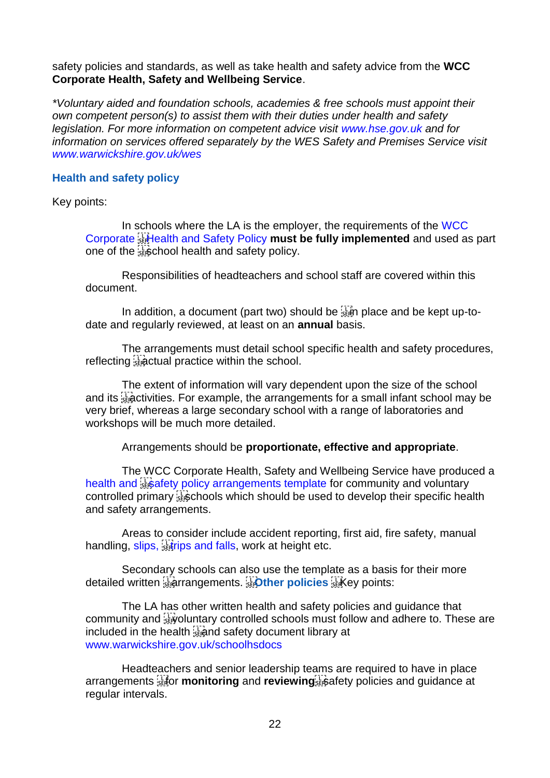safety policies and standards, as well as take health and safety advice from the **WCC Corporate Health, Safety and Wellbeing Service**.

*\*Voluntary aided and foundation schools, academies & free schools must appoint their own competent person(s) to assist them with their duties under health and safety legislation. For more information on competent advice visit www.hse.gov.uk and for information on services offered separately by the WES Safety and Premises Service visit www.warwickshire.gov.uk/wes*

#### **Health and safety policy**

Key points:

In schools where the LA is the employer, the requirements of the WCC Corporate Health and Safety Policy **must be fully implemented** and used as part one of the streeth and safety policy.

Responsibilities of headteachers and school staff are covered within this document.

In addition, a document (part two) should be  $\frac{1}{3}$  place and be kept up-todate and regularly reviewed, at least on an **annual** basis.

The arrangements must detail school specific health and safety procedures, reflecting  $\frac{1}{2}$  actual practice within the school.

The extent of information will vary dependent upon the size of the school and its  $\frac{1}{32}$  activities. For example, the arrangements for a small infant school may be very brief, whereas a large secondary school with a range of laboratories and workshops will be much more detailed.

Arrangements should be **proportionate, effective and appropriate**.

The WCC Corporate Health, Safety and Wellbeing Service have produced a health and substitute policy arrangements template for community and voluntary controlled primary steep chools which should be used to develop their specific health and safety arrangements.

Areas to consider include accident reporting, first aid, fire safety, manual handling, slips, statips and falls, work at height etc.

Secondary schools can also use the template as a basis for their more detailed written arrangements. **Other policies**  Key points:

The LA has other written health and safety policies and guidance that community and  $\frac{1}{2}$  voluntary controlled schools must follow and adhere to. These are included in the health **is and safety document library** at www.warwickshire.gov.uk/schoolhsdocs

Headteachers and senior leadership teams are required to have in place arrangements **for monitoring** and **reviewing** and reviewing and policies and quidance at regular intervals.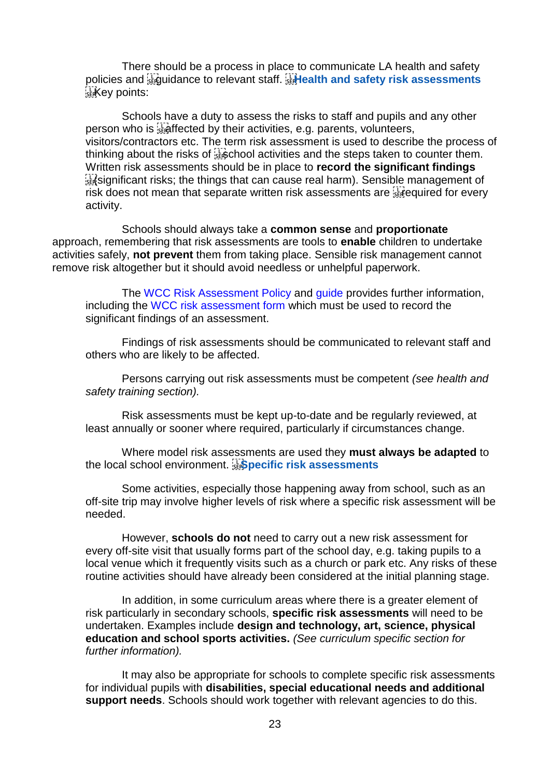There should be a process in place to communicate LA health and safety policies and **Requidance to relevant staff. Health and safety risk assessments**  $k$ <sub>sE</sub> $K$ ey points:

Schools have a duty to assess the risks to staff and pupils and any other person who is **a fighted by their activities**, e.g. parents, volunteers, visitors/contractors etc. The term risk assessment is used to describe the process of thinking about the risks of  $\frac{17}{356}$  chool activities and the steps taken to counter them. Written risk assessments should be in place to **record the significant findings**  (significant risks; the things that can cause real harm). Sensible management of risk does not mean that separate written risk assessments are  $\frac{1}{360}$  equired for every activity.

Schools should always take a **common sense** and **proportionate**  approach, remembering that risk assessments are tools to **enable** children to undertake activities safely, **not prevent** them from taking place. Sensible risk management cannot remove risk altogether but it should avoid needless or unhelpful paperwork.

The WCC Risk Assessment Policy and guide provides further information, including the WCC risk assessment form which must be used to record the significant findings of an assessment.

Findings of risk assessments should be communicated to relevant staff and others who are likely to be affected.

Persons carrying out risk assessments must be competent *(see health and safety training section).* 

Risk assessments must be kept up-to-date and be regularly reviewed, at least annually or sooner where required, particularly if circumstances change.

Where model risk assessments are used they **must always be adapted** to the local school environment. **Specific risk assessments** 

Some activities, especially those happening away from school, such as an off-site trip may involve higher levels of risk where a specific risk assessment will be needed.

However, **schools do not** need to carry out a new risk assessment for every off-site visit that usually forms part of the school day, e.g. taking pupils to a local venue which it frequently visits such as a church or park etc. Any risks of these routine activities should have already been considered at the initial planning stage.

In addition, in some curriculum areas where there is a greater element of risk particularly in secondary schools, **specific risk assessments** will need to be undertaken. Examples include **design and technology, art, science, physical education and school sports activities.** *(See curriculum specific section for further information).* 

It may also be appropriate for schools to complete specific risk assessments for individual pupils with **disabilities, special educational needs and additional support needs**. Schools should work together with relevant agencies to do this.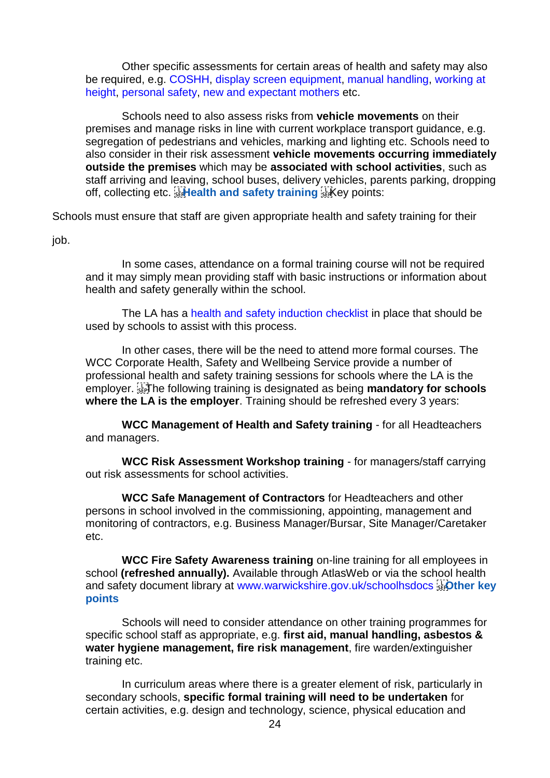Other specific assessments for certain areas of health and safety may also be required, e.g. COSHH, display screen equipment, manual handling, working at height, personal safety, new and expectant mothers etc.

Schools need to also assess risks from **vehicle movements** on their premises and manage risks in line with current workplace transport guidance, e.g. segregation of pedestrians and vehicles, marking and lighting etc. Schools need to also consider in their risk assessment **vehicle movements occurring immediately outside the premises** which may be **associated with school activities**, such as staff arriving and leaving, school buses, delivery vehicles, parents parking, dropping off, collecting etc. **Fighealth and safety training** ER Key points:

Schools must ensure that staff are given appropriate health and safety training for their

job.

In some cases, attendance on a formal training course will not be required and it may simply mean providing staff with basic instructions or information about health and safety generally within the school.

The LA has a health and safety induction checklist in place that should be used by schools to assist with this process.

In other cases, there will be the need to attend more formal courses. The WCC Corporate Health, Safety and Wellbeing Service provide a number of professional health and safety training sessions for schools where the LA is the employer. The following training is designated as being **mandatory for schools where the LA is the employer**. Training should be refreshed every 3 years:

**WCC Management of Health and Safety training** - for all Headteachers and managers.

**WCC Risk Assessment Workshop training** - for managers/staff carrying out risk assessments for school activities.

**WCC Safe Management of Contractors** for Headteachers and other persons in school involved in the commissioning, appointing, management and monitoring of contractors, e.g. Business Manager/Bursar, Site Manager/Caretaker etc.

**WCC Fire Safety Awareness training** on-line training for all employees in school **(refreshed annually).** Available through AtlasWeb or via the school health and safety document library at www.warwickshire.gov.uk/schoolhsdocs **Fighter key points** 

Schools will need to consider attendance on other training programmes for specific school staff as appropriate, e.g. **first aid, manual handling, asbestos & water hygiene management, fire risk management**, fire warden/extinguisher training etc.

In curriculum areas where there is a greater element of risk, particularly in secondary schools, **specific formal training will need to be undertaken** for certain activities, e.g. design and technology, science, physical education and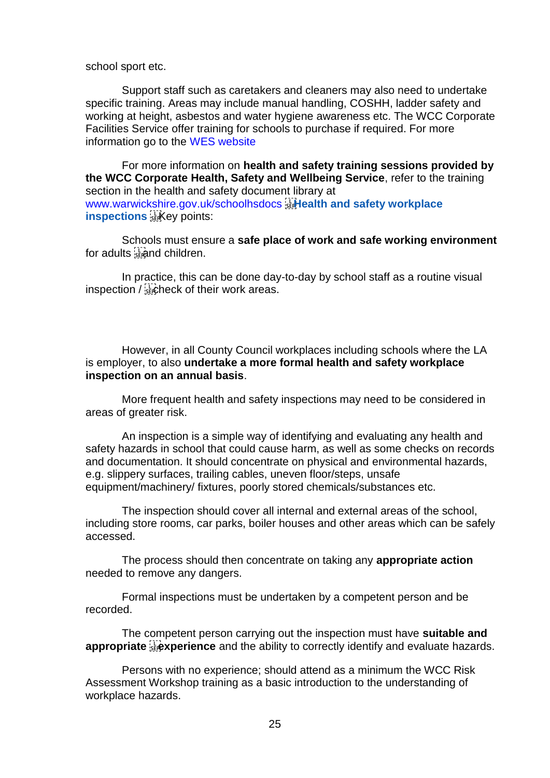school sport etc.

Support staff such as caretakers and cleaners may also need to undertake specific training. Areas may include manual handling, COSHH, ladder safety and working at height, asbestos and water hygiene awareness etc. The WCC Corporate Facilities Service offer training for schools to purchase if required. For more information go to the WES website

For more information on **health and safety training sessions provided by the WCC Corporate Health, Safety and Wellbeing Service**, refer to the training section in the health and safety document library at www.warwickshire.gov.uk/schoolhsdocs<sup>[1</sup>]. Health and safety workplace **inspections** *kkey* points:

Schools must ensure a **safe place of work and safe working environment**  for adults strand children.

In practice, this can be done day-to-day by school staff as a routine visual inspection  $/\sqrt{\frac{1}{36}}$ check of their work areas.

However, in all County Council workplaces including schools where the LA is employer, to also **undertake a more formal health and safety workplace inspection on an annual basis**.

More frequent health and safety inspections may need to be considered in areas of greater risk.

An inspection is a simple way of identifying and evaluating any health and safety hazards in school that could cause harm, as well as some checks on records and documentation. It should concentrate on physical and environmental hazards, e.g. slippery surfaces, trailing cables, uneven floor/steps, unsafe equipment/machinery/ fixtures, poorly stored chemicals/substances etc.

The inspection should cover all internal and external areas of the school, including store rooms, car parks, boiler houses and other areas which can be safely accessed.

The process should then concentrate on taking any **appropriate action**  needed to remove any dangers.

Formal inspections must be undertaken by a competent person and be recorded.

The competent person carrying out the inspection must have **suitable and**  appropriate **Figures** and the ability to correctly identify and evaluate hazards.

Persons with no experience; should attend as a minimum the WCC Risk Assessment Workshop training as a basic introduction to the understanding of workplace hazards.